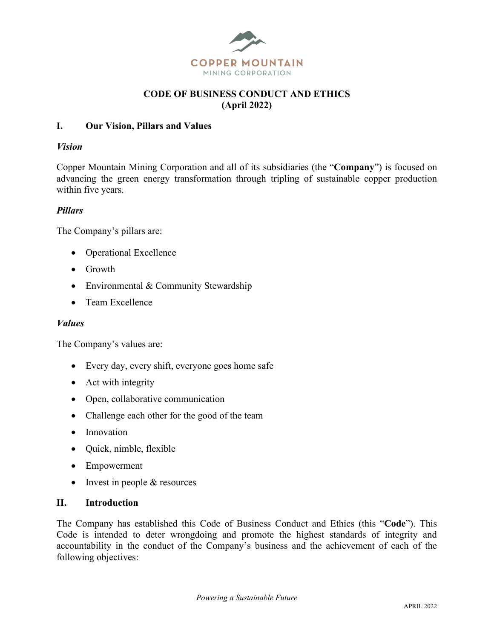

### **CODE OF BUSINESS CONDUCT AND ETHICS (April 2022)**

#### **I. Our Vision, Pillars and Values**

#### *Vision*

Copper Mountain Mining Corporation and all of its subsidiaries (the "**Company**") is focused on advancing the green energy transformation through tripling of sustainable copper production within five years.

### *Pillars*

The Company's pillars are:

- Operational Excellence
- Growth
- Environmental & Community Stewardship
- Team Excellence

#### *Values*

The Company's values are:

- Every day, every shift, everyone goes home safe
- Act with integrity
- Open, collaborative communication
- Challenge each other for the good of the team
- Innovation
- Quick, nimble, flexible
- Empowerment
- Invest in people & resources

#### **II. Introduction**

The Company has established this Code of Business Conduct and Ethics (this "**Code**"). This Code is intended to deter wrongdoing and promote the highest standards of integrity and accountability in the conduct of the Company's business and the achievement of each of the following objectives: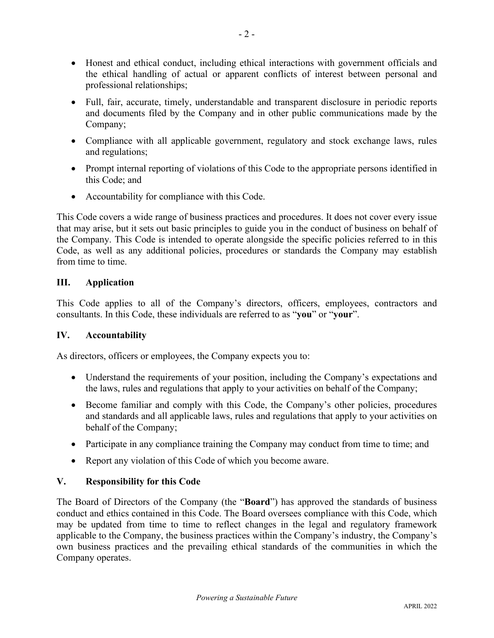- Honest and ethical conduct, including ethical interactions with government officials and the ethical handling of actual or apparent conflicts of interest between personal and professional relationships;
- Full, fair, accurate, timely, understandable and transparent disclosure in periodic reports and documents filed by the Company and in other public communications made by the Company;
- Compliance with all applicable government, regulatory and stock exchange laws, rules and regulations;
- Prompt internal reporting of violations of this Code to the appropriate persons identified in this Code; and
- Accountability for compliance with this Code.

This Code covers a wide range of business practices and procedures. It does not cover every issue that may arise, but it sets out basic principles to guide you in the conduct of business on behalf of the Company. This Code is intended to operate alongside the specific policies referred to in this Code, as well as any additional policies, procedures or standards the Company may establish from time to time.

# **III. Application**

This Code applies to all of the Company's directors, officers, employees, contractors and consultants. In this Code, these individuals are referred to as "**you**" or "**your**".

# **IV. Accountability**

As directors, officers or employees, the Company expects you to:

- Understand the requirements of your position, including the Company's expectations and the laws, rules and regulations that apply to your activities on behalf of the Company;
- Become familiar and comply with this Code, the Company's other policies, procedures and standards and all applicable laws, rules and regulations that apply to your activities on behalf of the Company;
- Participate in any compliance training the Company may conduct from time to time; and
- Report any violation of this Code of which you become aware.

# **V. Responsibility for this Code**

The Board of Directors of the Company (the "**Board**") has approved the standards of business conduct and ethics contained in this Code. The Board oversees compliance with this Code, which may be updated from time to time to reflect changes in the legal and regulatory framework applicable to the Company, the business practices within the Company's industry, the Company's own business practices and the prevailing ethical standards of the communities in which the Company operates.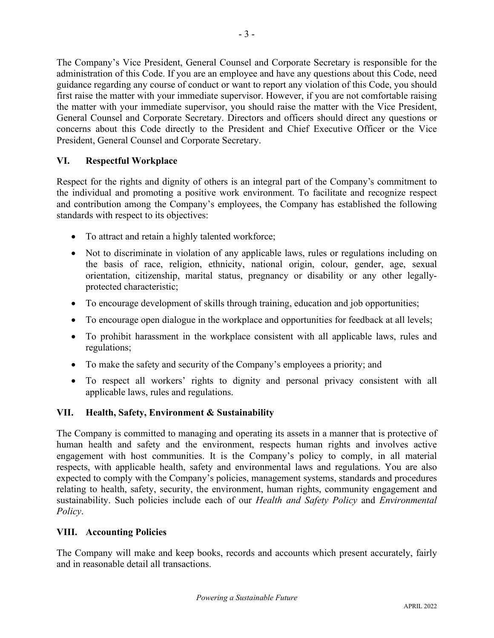The Company's Vice President, General Counsel and Corporate Secretary is responsible for the administration of this Code. If you are an employee and have any questions about this Code, need guidance regarding any course of conduct or want to report any violation of this Code, you should first raise the matter with your immediate supervisor. However, if you are not comfortable raising the matter with your immediate supervisor, you should raise the matter with the Vice President, General Counsel and Corporate Secretary. Directors and officers should direct any questions or concerns about this Code directly to the President and Chief Executive Officer or the Vice President, General Counsel and Corporate Secretary.

## **VI. Respectful Workplace**

Respect for the rights and dignity of others is an integral part of the Company's commitment to the individual and promoting a positive work environment. To facilitate and recognize respect and contribution among the Company's employees, the Company has established the following standards with respect to its objectives:

- To attract and retain a highly talented workforce;
- Not to discriminate in violation of any applicable laws, rules or regulations including on the basis of race, religion, ethnicity, national origin, colour, gender, age, sexual orientation, citizenship, marital status, pregnancy or disability or any other legallyprotected characteristic;
- To encourage development of skills through training, education and job opportunities;
- To encourage open dialogue in the workplace and opportunities for feedback at all levels;
- To prohibit harassment in the workplace consistent with all applicable laws, rules and regulations;
- To make the safety and security of the Company's employees a priority; and
- To respect all workers' rights to dignity and personal privacy consistent with all applicable laws, rules and regulations.

## **VII. Health, Safety, Environment & Sustainability**

The Company is committed to managing and operating its assets in a manner that is protective of human health and safety and the environment, respects human rights and involves active engagement with host communities. It is the Company's policy to comply, in all material respects, with applicable health, safety and environmental laws and regulations. You are also expected to comply with the Company's policies, management systems, standards and procedures relating to health, safety, security, the environment, human rights, community engagement and sustainability. Such policies include each of our *Health and Safety Policy* and *Environmental Policy*.

## **VIII. Accounting Policies**

The Company will make and keep books, records and accounts which present accurately, fairly and in reasonable detail all transactions.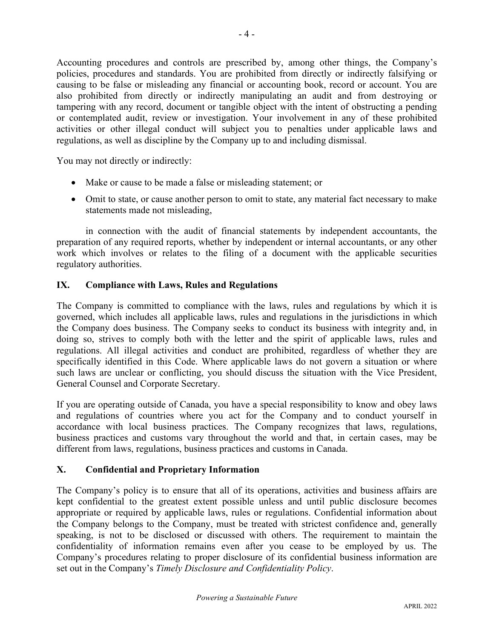Accounting procedures and controls are prescribed by, among other things, the Company's policies, procedures and standards. You are prohibited from directly or indirectly falsifying or causing to be false or misleading any financial or accounting book, record or account. You are also prohibited from directly or indirectly manipulating an audit and from destroying or tampering with any record, document or tangible object with the intent of obstructing a pending or contemplated audit, review or investigation. Your involvement in any of these prohibited activities or other illegal conduct will subject you to penalties under applicable laws and regulations, as well as discipline by the Company up to and including dismissal.

You may not directly or indirectly:

- Make or cause to be made a false or misleading statement; or
- Omit to state, or cause another person to omit to state, any material fact necessary to make statements made not misleading,

in connection with the audit of financial statements by independent accountants, the preparation of any required reports, whether by independent or internal accountants, or any other work which involves or relates to the filing of a document with the applicable securities regulatory authorities.

### **IX. Compliance with Laws, Rules and Regulations**

The Company is committed to compliance with the laws, rules and regulations by which it is governed, which includes all applicable laws, rules and regulations in the jurisdictions in which the Company does business. The Company seeks to conduct its business with integrity and, in doing so, strives to comply both with the letter and the spirit of applicable laws, rules and regulations. All illegal activities and conduct are prohibited, regardless of whether they are specifically identified in this Code. Where applicable laws do not govern a situation or where such laws are unclear or conflicting, you should discuss the situation with the Vice President, General Counsel and Corporate Secretary.

If you are operating outside of Canada, you have a special responsibility to know and obey laws and regulations of countries where you act for the Company and to conduct yourself in accordance with local business practices. The Company recognizes that laws, regulations, business practices and customs vary throughout the world and that, in certain cases, may be different from laws, regulations, business practices and customs in Canada.

## **X. Confidential and Proprietary Information**

The Company's policy is to ensure that all of its operations, activities and business affairs are kept confidential to the greatest extent possible unless and until public disclosure becomes appropriate or required by applicable laws, rules or regulations. Confidential information about the Company belongs to the Company, must be treated with strictest confidence and, generally speaking, is not to be disclosed or discussed with others. The requirement to maintain the confidentiality of information remains even after you cease to be employed by us. The Company's procedures relating to proper disclosure of its confidential business information are set out in the Company's *Timely Disclosure and Confidentiality Policy*.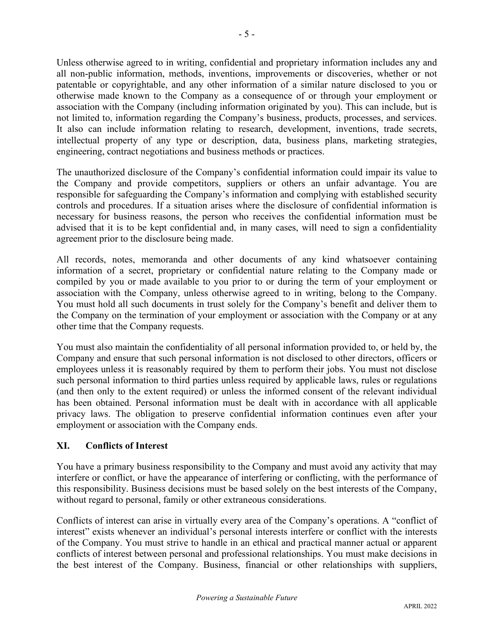Unless otherwise agreed to in writing, confidential and proprietary information includes any and all non-public information, methods, inventions, improvements or discoveries, whether or not patentable or copyrightable, and any other information of a similar nature disclosed to you or otherwise made known to the Company as a consequence of or through your employment or association with the Company (including information originated by you). This can include, but is not limited to, information regarding the Company's business, products, processes, and services. It also can include information relating to research, development, inventions, trade secrets, intellectual property of any type or description, data, business plans, marketing strategies, engineering, contract negotiations and business methods or practices.

The unauthorized disclosure of the Company's confidential information could impair its value to the Company and provide competitors, suppliers or others an unfair advantage. You are responsible for safeguarding the Company's information and complying with established security controls and procedures. If a situation arises where the disclosure of confidential information is necessary for business reasons, the person who receives the confidential information must be advised that it is to be kept confidential and, in many cases, will need to sign a confidentiality agreement prior to the disclosure being made.

All records, notes, memoranda and other documents of any kind whatsoever containing information of a secret, proprietary or confidential nature relating to the Company made or compiled by you or made available to you prior to or during the term of your employment or association with the Company, unless otherwise agreed to in writing, belong to the Company. You must hold all such documents in trust solely for the Company's benefit and deliver them to the Company on the termination of your employment or association with the Company or at any other time that the Company requests.

You must also maintain the confidentiality of all personal information provided to, or held by, the Company and ensure that such personal information is not disclosed to other directors, officers or employees unless it is reasonably required by them to perform their jobs. You must not disclose such personal information to third parties unless required by applicable laws, rules or regulations (and then only to the extent required) or unless the informed consent of the relevant individual has been obtained. Personal information must be dealt with in accordance with all applicable privacy laws. The obligation to preserve confidential information continues even after your employment or association with the Company ends.

# **XI. Conflicts of Interest**

You have a primary business responsibility to the Company and must avoid any activity that may interfere or conflict, or have the appearance of interfering or conflicting, with the performance of this responsibility. Business decisions must be based solely on the best interests of the Company, without regard to personal, family or other extraneous considerations.

Conflicts of interest can arise in virtually every area of the Company's operations. A "conflict of interest" exists whenever an individual's personal interests interfere or conflict with the interests of the Company. You must strive to handle in an ethical and practical manner actual or apparent conflicts of interest between personal and professional relationships. You must make decisions in the best interest of the Company. Business, financial or other relationships with suppliers,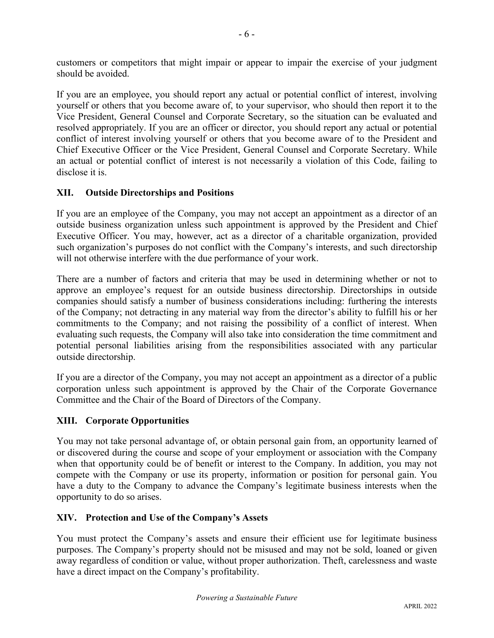customers or competitors that might impair or appear to impair the exercise of your judgment should be avoided.

If you are an employee, you should report any actual or potential conflict of interest, involving yourself or others that you become aware of, to your supervisor, who should then report it to the Vice President, General Counsel and Corporate Secretary, so the situation can be evaluated and resolved appropriately. If you are an officer or director, you should report any actual or potential conflict of interest involving yourself or others that you become aware of to the President and Chief Executive Officer or the Vice President, General Counsel and Corporate Secretary. While an actual or potential conflict of interest is not necessarily a violation of this Code, failing to disclose it is.

## **XII. Outside Directorships and Positions**

If you are an employee of the Company, you may not accept an appointment as a director of an outside business organization unless such appointment is approved by the President and Chief Executive Officer. You may, however, act as a director of a charitable organization, provided such organization's purposes do not conflict with the Company's interests, and such directorship will not otherwise interfere with the due performance of your work.

There are a number of factors and criteria that may be used in determining whether or not to approve an employee's request for an outside business directorship. Directorships in outside companies should satisfy a number of business considerations including: furthering the interests of the Company; not detracting in any material way from the director's ability to fulfill his or her commitments to the Company; and not raising the possibility of a conflict of interest. When evaluating such requests, the Company will also take into consideration the time commitment and potential personal liabilities arising from the responsibilities associated with any particular outside directorship.

If you are a director of the Company, you may not accept an appointment as a director of a public corporation unless such appointment is approved by the Chair of the Corporate Governance Committee and the Chair of the Board of Directors of the Company.

# **XIII. Corporate Opportunities**

You may not take personal advantage of, or obtain personal gain from, an opportunity learned of or discovered during the course and scope of your employment or association with the Company when that opportunity could be of benefit or interest to the Company. In addition, you may not compete with the Company or use its property, information or position for personal gain. You have a duty to the Company to advance the Company's legitimate business interests when the opportunity to do so arises.

# **XIV. Protection and Use of the Company's Assets**

You must protect the Company's assets and ensure their efficient use for legitimate business purposes. The Company's property should not be misused and may not be sold, loaned or given away regardless of condition or value, without proper authorization. Theft, carelessness and waste have a direct impact on the Company's profitability.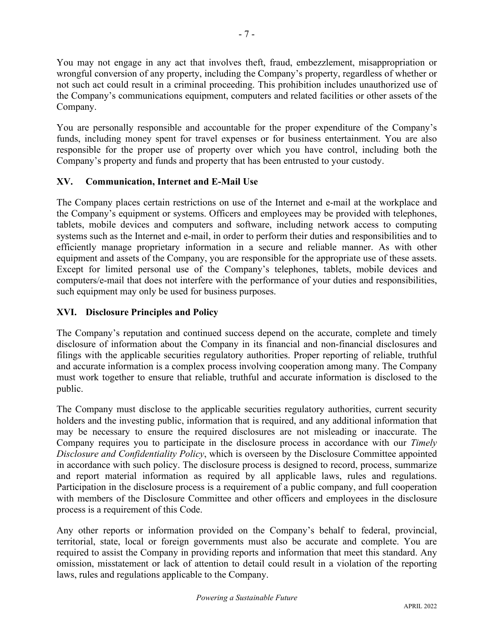You may not engage in any act that involves theft, fraud, embezzlement, misappropriation or wrongful conversion of any property, including the Company's property, regardless of whether or not such act could result in a criminal proceeding. This prohibition includes unauthorized use of the Company's communications equipment, computers and related facilities or other assets of the Company.

You are personally responsible and accountable for the proper expenditure of the Company's funds, including money spent for travel expenses or for business entertainment. You are also responsible for the proper use of property over which you have control, including both the Company's property and funds and property that has been entrusted to your custody.

## **XV. Communication, Internet and E-Mail Use**

The Company places certain restrictions on use of the Internet and e-mail at the workplace and the Company's equipment or systems. Officers and employees may be provided with telephones, tablets, mobile devices and computers and software, including network access to computing systems such as the Internet and e-mail, in order to perform their duties and responsibilities and to efficiently manage proprietary information in a secure and reliable manner. As with other equipment and assets of the Company, you are responsible for the appropriate use of these assets. Except for limited personal use of the Company's telephones, tablets, mobile devices and computers/e-mail that does not interfere with the performance of your duties and responsibilities, such equipment may only be used for business purposes.

## **XVI. Disclosure Principles and Policy**

The Company's reputation and continued success depend on the accurate, complete and timely disclosure of information about the Company in its financial and non-financial disclosures and filings with the applicable securities regulatory authorities. Proper reporting of reliable, truthful and accurate information is a complex process involving cooperation among many. The Company must work together to ensure that reliable, truthful and accurate information is disclosed to the public.

The Company must disclose to the applicable securities regulatory authorities, current security holders and the investing public, information that is required, and any additional information that may be necessary to ensure the required disclosures are not misleading or inaccurate. The Company requires you to participate in the disclosure process in accordance with our *Timely Disclosure and Confidentiality Policy*, which is overseen by the Disclosure Committee appointed in accordance with such policy. The disclosure process is designed to record, process, summarize and report material information as required by all applicable laws, rules and regulations. Participation in the disclosure process is a requirement of a public company, and full cooperation with members of the Disclosure Committee and other officers and employees in the disclosure process is a requirement of this Code.

Any other reports or information provided on the Company's behalf to federal, provincial, territorial, state, local or foreign governments must also be accurate and complete. You are required to assist the Company in providing reports and information that meet this standard. Any omission, misstatement or lack of attention to detail could result in a violation of the reporting laws, rules and regulations applicable to the Company.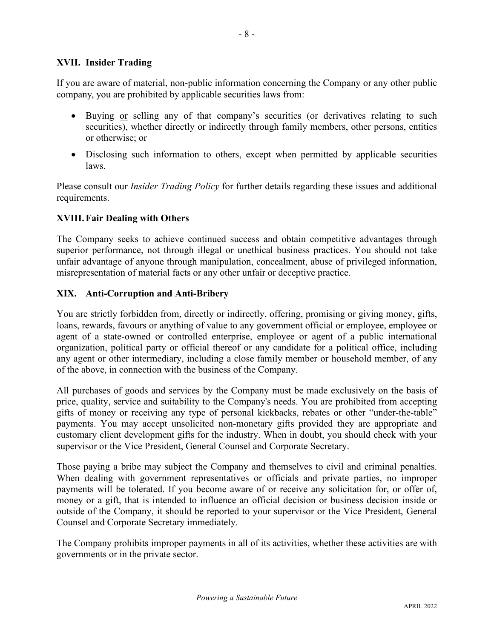### **XVII. Insider Trading**

If you are aware of material, non-public information concerning the Company or any other public company, you are prohibited by applicable securities laws from:

- Buying or selling any of that company's securities (or derivatives relating to such securities), whether directly or indirectly through family members, other persons, entities or otherwise; or
- Disclosing such information to others, except when permitted by applicable securities laws.

Please consult our *Insider Trading Policy* for further details regarding these issues and additional requirements.

### **XVIII. Fair Dealing with Others**

The Company seeks to achieve continued success and obtain competitive advantages through superior performance, not through illegal or unethical business practices. You should not take unfair advantage of anyone through manipulation, concealment, abuse of privileged information, misrepresentation of material facts or any other unfair or deceptive practice.

#### **XIX. Anti-Corruption and Anti-Bribery**

You are strictly forbidden from, directly or indirectly, offering, promising or giving money, gifts, loans, rewards, favours or anything of value to any government official or employee, employee or agent of a state-owned or controlled enterprise, employee or agent of a public international organization, political party or official thereof or any candidate for a political office, including any agent or other intermediary, including a close family member or household member, of any of the above, in connection with the business of the Company.

All purchases of goods and services by the Company must be made exclusively on the basis of price, quality, service and suitability to the Company's needs. You are prohibited from accepting gifts of money or receiving any type of personal kickbacks, rebates or other "under-the-table" payments. You may accept unsolicited non-monetary gifts provided they are appropriate and customary client development gifts for the industry. When in doubt, you should check with your supervisor or the Vice President, General Counsel and Corporate Secretary.

Those paying a bribe may subject the Company and themselves to civil and criminal penalties. When dealing with government representatives or officials and private parties, no improper payments will be tolerated. If you become aware of or receive any solicitation for, or offer of, money or a gift, that is intended to influence an official decision or business decision inside or outside of the Company, it should be reported to your supervisor or the Vice President, General Counsel and Corporate Secretary immediately.

The Company prohibits improper payments in all of its activities, whether these activities are with governments or in the private sector.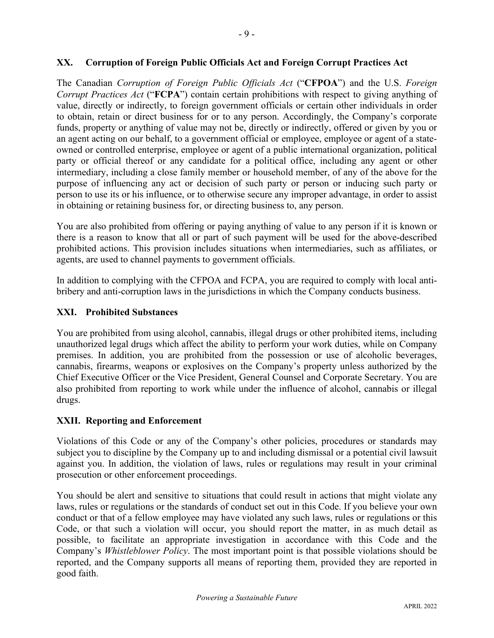### **XX. Corruption of Foreign Public Officials Act and Foreign Corrupt Practices Act**

The Canadian *Corruption of Foreign Public Officials Act* ("**CFPOA**") and the U.S. *Foreign Corrupt Practices Act* ("**FCPA**") contain certain prohibitions with respect to giving anything of value, directly or indirectly, to foreign government officials or certain other individuals in order to obtain, retain or direct business for or to any person. Accordingly, the Company's corporate funds, property or anything of value may not be, directly or indirectly, offered or given by you or an agent acting on our behalf, to a government official or employee, employee or agent of a stateowned or controlled enterprise, employee or agent of a public international organization, political party or official thereof or any candidate for a political office, including any agent or other intermediary, including a close family member or household member, of any of the above for the purpose of influencing any act or decision of such party or person or inducing such party or person to use its or his influence, or to otherwise secure any improper advantage, in order to assist in obtaining or retaining business for, or directing business to, any person.

You are also prohibited from offering or paying anything of value to any person if it is known or there is a reason to know that all or part of such payment will be used for the above-described prohibited actions. This provision includes situations when intermediaries, such as affiliates, or agents, are used to channel payments to government officials.

In addition to complying with the CFPOA and FCPA, you are required to comply with local antibribery and anti-corruption laws in the jurisdictions in which the Company conducts business.

## **XXI. Prohibited Substances**

You are prohibited from using alcohol, cannabis, illegal drugs or other prohibited items, including unauthorized legal drugs which affect the ability to perform your work duties, while on Company premises. In addition, you are prohibited from the possession or use of alcoholic beverages, cannabis, firearms, weapons or explosives on the Company's property unless authorized by the Chief Executive Officer or the Vice President, General Counsel and Corporate Secretary. You are also prohibited from reporting to work while under the influence of alcohol, cannabis or illegal drugs.

#### **XXII. Reporting and Enforcement**

Violations of this Code or any of the Company's other policies, procedures or standards may subject you to discipline by the Company up to and including dismissal or a potential civil lawsuit against you. In addition, the violation of laws, rules or regulations may result in your criminal prosecution or other enforcement proceedings.

You should be alert and sensitive to situations that could result in actions that might violate any laws, rules or regulations or the standards of conduct set out in this Code. If you believe your own conduct or that of a fellow employee may have violated any such laws, rules or regulations or this Code, or that such a violation will occur, you should report the matter, in as much detail as possible, to facilitate an appropriate investigation in accordance with this Code and the Company's *Whistleblower Policy*. The most important point is that possible violations should be reported, and the Company supports all means of reporting them, provided they are reported in good faith.